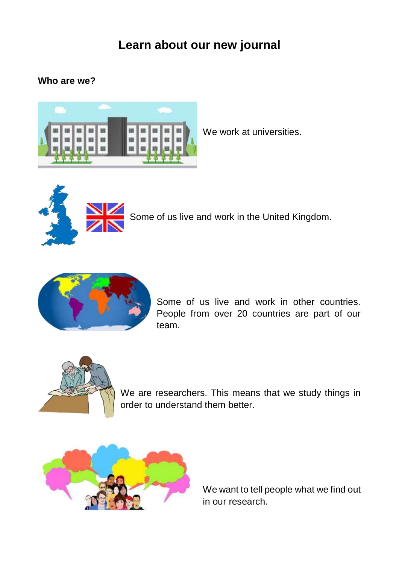# **Learn about our new journal**

#### **Who are we?**



We work at universities.



Some of us live and work in the United Kingdom.



Some of us live and work in other countries. People from over 20 countries are part of our team.



We are researchers. This means that we study things in order to understand them better.



We want to tell people what we find out in our research.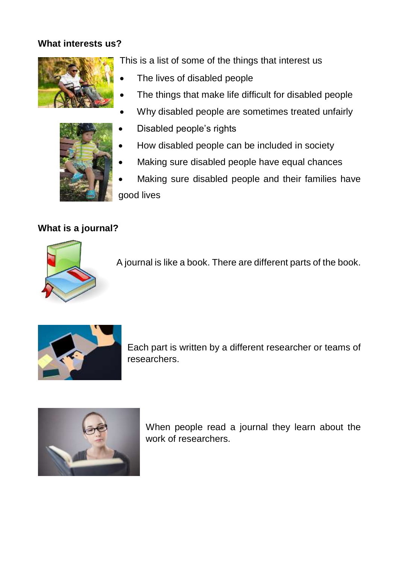### **What interests us?**



This is a list of some of the things that interest us

- The lives of disabled people
- The things that make life difficult for disabled people
- Why disabled people are sometimes treated unfairly
- Disabled people's rights
- How disabled people can be included in society
- Making sure disabled people have equal chances
- Making sure disabled people and their families have good lives

## **What is a journal?**



A journal is like a book. There are different parts of the book.



Each part is written by a different researcher or teams of researchers.



When people read a journal they learn about the work of researchers.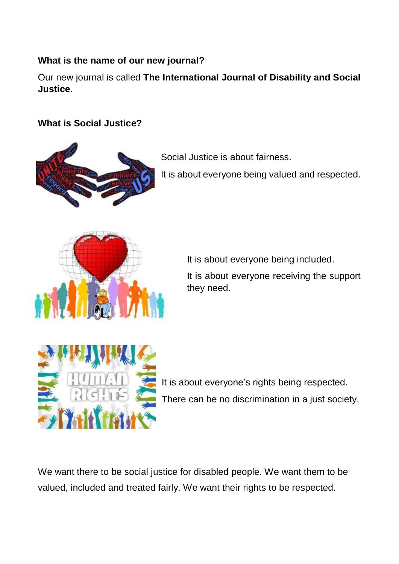## **What is the name of our new journal?**

Our new journal is called **The International Journal of Disability and Social Justice.** 

## **What is Social Justice?**



Social Justice is about fairness.

It is about everyone being valued and respected.



It is about everyone being included. It is about everyone receiving the support they need.



It is about everyone's rights being respected. There can be no discrimination in a just society.

We want there to be social justice for disabled people. We want them to be valued, included and treated fairly. We want their rights to be respected.